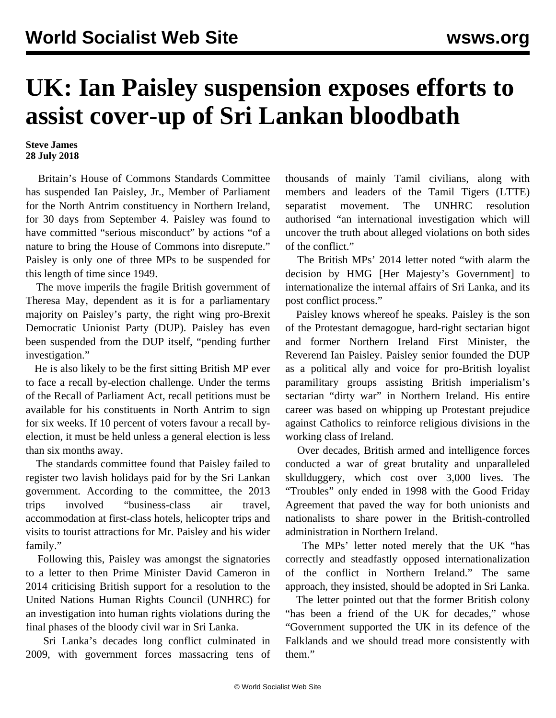## **UK: Ian Paisley suspension exposes efforts to assist cover-up of Sri Lankan bloodbath**

**Steve James 28 July 2018**

 Britain's House of Commons Standards Committee has suspended Ian Paisley, Jr., Member of Parliament for the North Antrim constituency in Northern Ireland, for 30 days from September 4. Paisley was found to have committed "serious misconduct" by actions "of a nature to bring the House of Commons into disrepute." Paisley is only one of three MPs to be suspended for this length of time since 1949.

 The move imperils the fragile British government of Theresa May, dependent as it is for a parliamentary majority on Paisley's party, the right wing pro-Brexit Democratic Unionist Party (DUP). Paisley has even been suspended from the DUP itself, "pending further investigation."

 He is also likely to be the first sitting British MP ever to face a recall by-election challenge. Under the terms of the Recall of Parliament Act, recall petitions must be available for his constituents in North Antrim to sign for six weeks. If 10 percent of voters favour a recall byelection, it must be held unless a general election is less than six months away.

 The standards committee found that Paisley failed to register two lavish holidays paid for by the Sri Lankan government. According to the committee, the 2013 trips involved "business-class air travel, accommodation at first-class hotels, helicopter trips and visits to tourist attractions for Mr. Paisley and his wider family."

 Following this, Paisley was amongst the signatories to a letter to then Prime Minister David Cameron in 2014 criticising British support for a resolution to the United Nations Human Rights Council (UNHRC) for an investigation into human rights violations during the final phases of the bloody civil war in Sri Lanka.

 Sri Lanka's decades long conflict culminated in 2009, with government forces massacring tens of thousands of mainly Tamil civilians, along with members and leaders of the Tamil Tigers (LTTE) separatist movement. The UNHRC resolution authorised "an international investigation which will uncover the truth about alleged violations on both sides of the conflict."

 The British MPs' 2014 letter noted "with alarm the decision by HMG [Her Majesty's Government] to internationalize the internal affairs of Sri Lanka, and its post conflict process."

 Paisley knows whereof he speaks. Paisley is the son of the Protestant demagogue, hard-right sectarian bigot and former Northern Ireland First Minister, the Reverend Ian Paisley. Paisley senior founded the DUP as a political ally and voice for pro-British loyalist paramilitary groups assisting British imperialism's sectarian "dirty war" in Northern Ireland. His entire career was based on whipping up Protestant prejudice against Catholics to reinforce religious divisions in the working class of Ireland.

 Over decades, British armed and intelligence forces conducted a war of great brutality and unparalleled skullduggery, which cost over 3,000 lives. The "Troubles" only ended in 1998 with the Good Friday Agreement that paved the way for both unionists and nationalists to share power in the British-controlled administration in Northern Ireland.

 The MPs' letter noted merely that the UK "has correctly and steadfastly opposed internationalization of the conflict in Northern Ireland." The same approach, they insisted, should be adopted in Sri Lanka.

 The letter pointed out that the former British colony "has been a friend of the UK for decades," whose "Government supported the UK in its defence of the Falklands and we should tread more consistently with them."